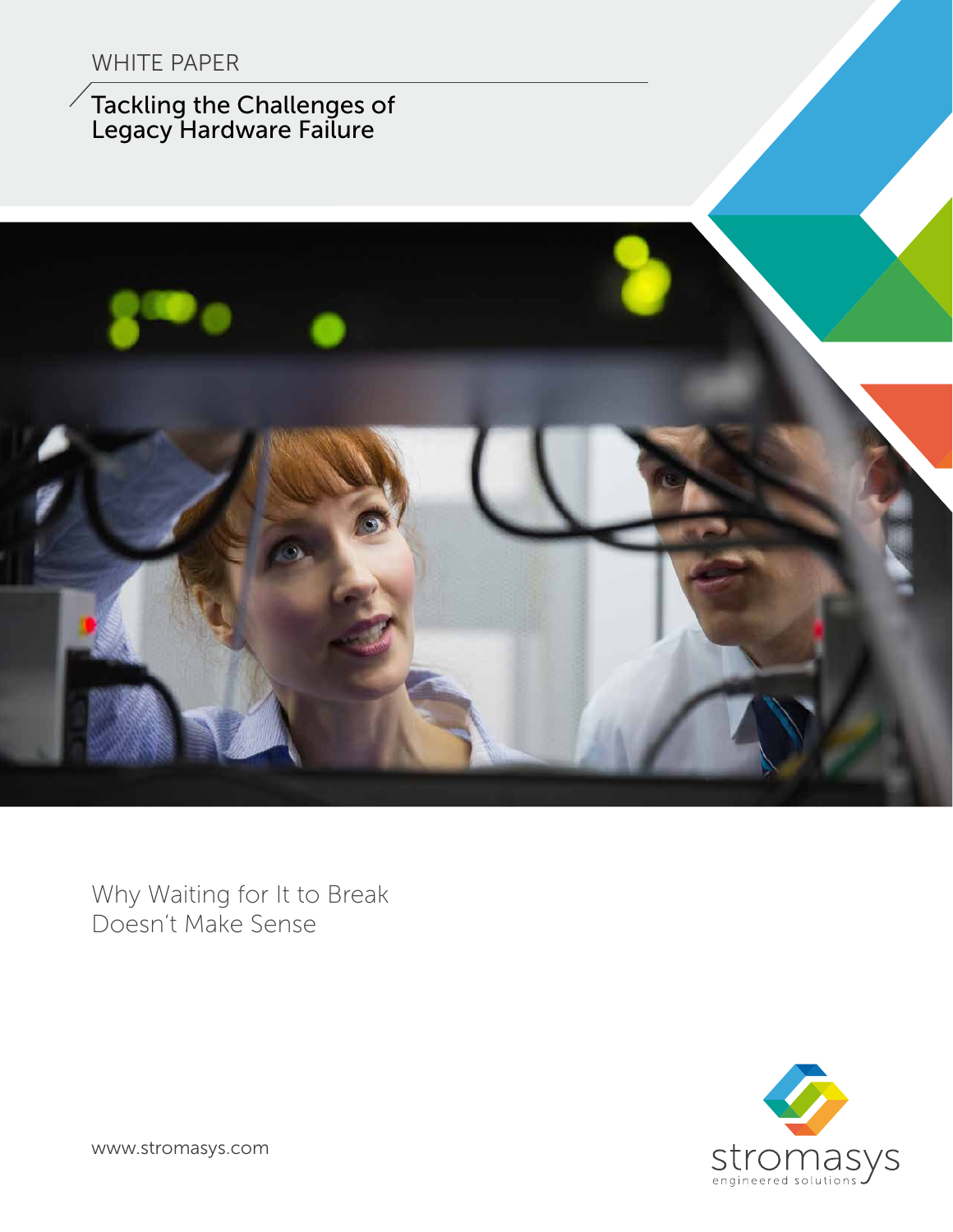#### WHITE PAPER

Tackling the Challenges of Legacy Hardware Failure



Why Waiting for It to Break Doesn't Make Sense



www.stromasys.com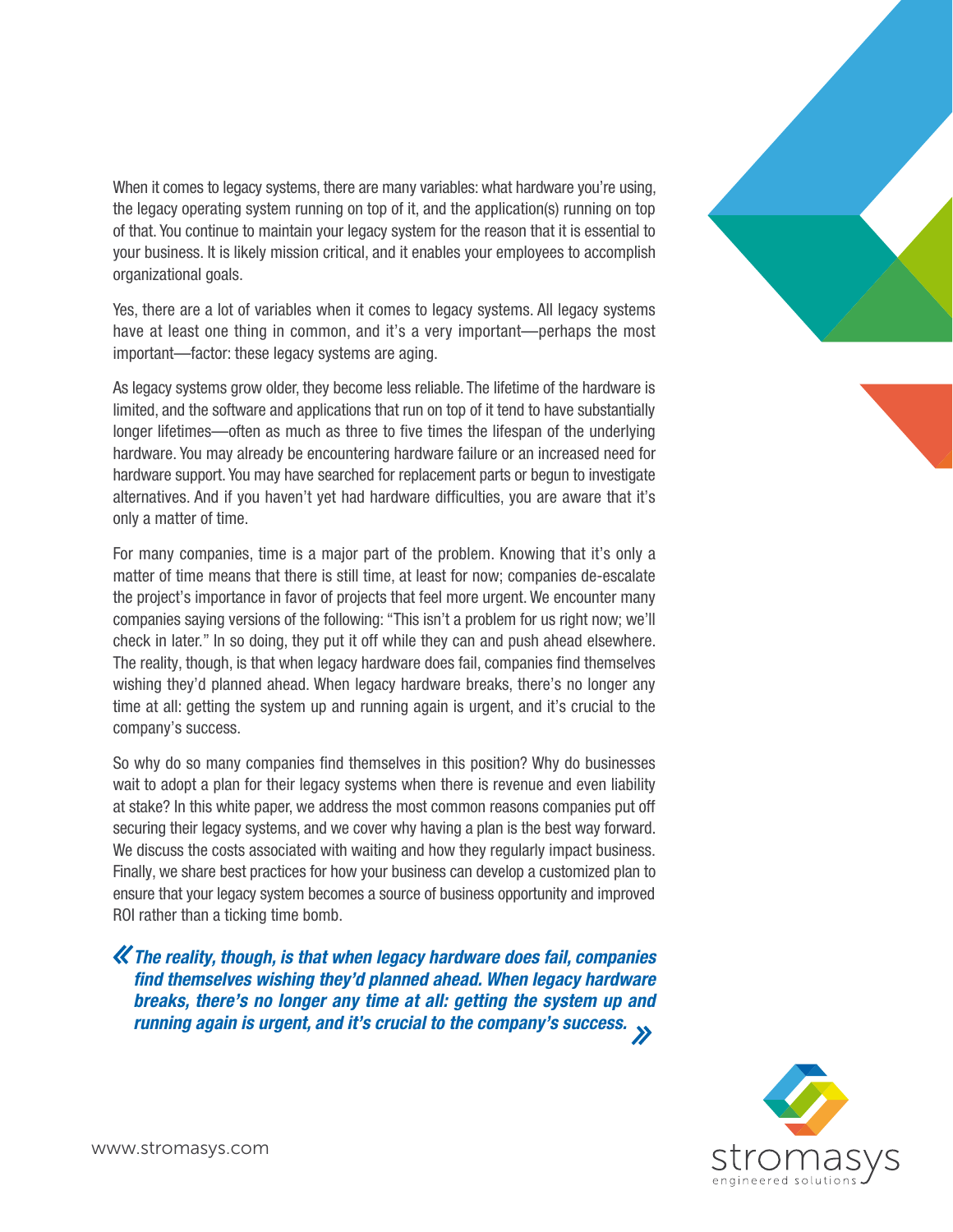When it comes to legacy systems, there are many variables: what hardware you're using, the legacy operating system running on top of it, and the application(s) running on top of that. You continue to maintain your legacy system for the reason that it is essential to your business. It is likely mission critical, and it enables your employees to accomplish organizational goals.

Yes, there are a lot of variables when it comes to legacy systems. All legacy systems have at least one thing in common, and it's a very important—perhaps the most important—factor: these legacy systems are aging.

As legacy systems grow older, they become less reliable. The lifetime of the hardware is limited, and the software and applications that run on top of it tend to have substantially longer lifetimes—often as much as three to five times the lifespan of the underlying hardware. You may already be encountering hardware failure or an increased need for hardware support. You may have searched for replacement parts or begun to investigate alternatives. And if you haven't yet had hardware difficulties, you are aware that it's only a matter of time.

For many companies, time is a major part of the problem. Knowing that it's only a matter of time means that there is still time, at least for now; companies de-escalate the project's importance in favor of projects that feel more urgent. We encounter many companies saying versions of the following: "This isn't a problem for us right now; we'll check in later." In so doing, they put it off while they can and push ahead elsewhere. The reality, though, is that when legacy hardware does fail, companies find themselves wishing they'd planned ahead. When legacy hardware breaks, there's no longer any time at all: getting the system up and running again is urgent, and it's crucial to the company's success.

So why do so many companies find themselves in this position? Why do businesses wait to adopt a plan for their legacy systems when there is revenue and even liability at stake? In this white paper, we address the most common reasons companies put off securing their legacy systems, and we cover why having a plan is the best way forward. We discuss the costs associated with waiting and how they regularly impact business. Finally, we share best practices for how your business can develop a customized plan to ensure that your legacy system becomes a source of business opportunity and improved ROI rather than a ticking time bomb.

The reality, though, is that when legacy hardware does fail, companies find themselves wishing they'd planned ahead. When legacy hardware breaks, there's no longer any time at all: getting the system up and running again is urgent, and it's crucial to the company's success.



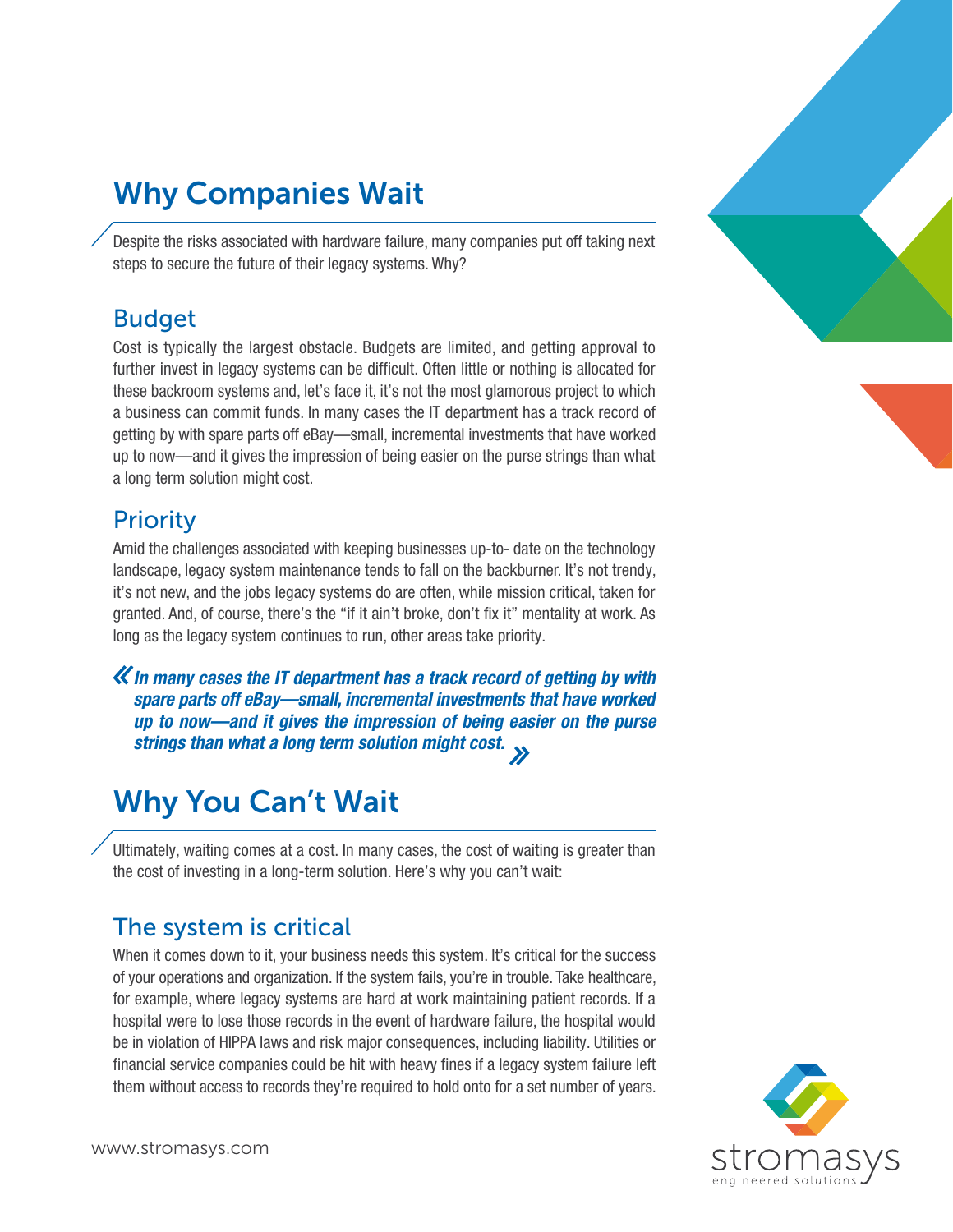# Why Companies Wait

Despite the risks associated with hardware failure, many companies put off taking next steps to secure the future of their legacy systems. Why?

#### Budget

Cost is typically the largest obstacle. Budgets are limited, and getting approval to further invest in legacy systems can be difficult. Often little or nothing is allocated for these backroom systems and, let's face it, it's not the most glamorous project to which a business can commit funds. In many cases the IT department has a track record of getting by with spare parts off eBay—small, incremental investments that have worked up to now—and it gives the impression of being easier on the purse strings than what a long term solution might cost.

#### **Priority**

Amid the challenges associated with keeping businesses up-to- date on the technology landscape, legacy system maintenance tends to fall on the backburner. It's not trendy, it's not new, and the jobs legacy systems do are often, while mission critical, taken for granted. And, of course, there's the "if it ain't broke, don't fix it" mentality at work. As long as the legacy system continues to run, other areas take priority.

**K** In many cases the IT department has a track record of getting by with spare parts off eBay—small, incremental investments that have worked up to now—and it gives the impression of being easier on the purse strings than what a long term solution might cost.

## Why You Can't Wait

Ultimately, waiting comes at a cost. In many cases, the cost of waiting is greater than the cost of investing in a long-term solution. Here's why you can't wait:

#### The system is critical

When it comes down to it, your business needs this system. It's critical for the success of your operations and organization. If the system fails, you're in trouble. Take healthcare, for example, where legacy systems are hard at work maintaining patient records. If a hospital were to lose those records in the event of hardware failure, the hospital would be in violation of HIPPA laws and risk major consequences, including liability. Utilities or financial service companies could be hit with heavy fines if a legacy system failure left them without access to records they're required to hold onto for a set number of years.



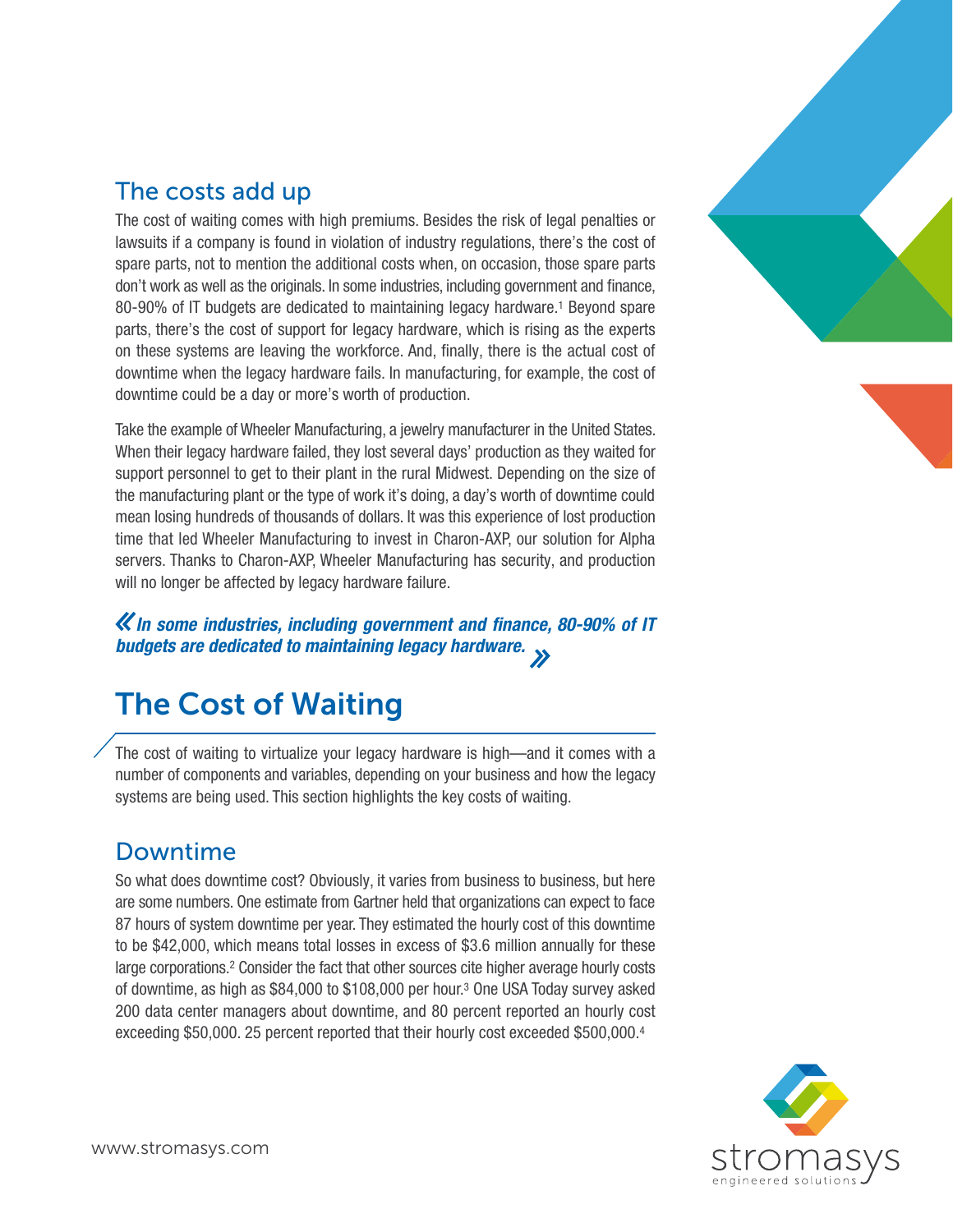

#### The costs add up

The cost of waiting comes with high premiums. Besides the risk of legal penalties or lawsuits if a company is found in violation of industry regulations, there's the cost of spare parts, not to mention the additional costs when, on occasion, those spare parts don't work as well as the originals. In some industries, including government and finance, 80-90% of IT budgets are dedicated to maintaining legacy hardware.<sup>1</sup> Beyond spare parts, there's the cost of support for legacy hardware, which is rising as the experts on these systems are leaving the workforce. And, finally, there is the actual cost of downtime when the legacy hardware fails. In manufacturing, for example, the cost of downtime could be a day or more's worth of production.

Take the example of Wheeler Manufacturing, a jewelry manufacturer in the United States. When their legacy hardware failed, they lost several days' production as they waited for support personnel to get to their plant in the rural Midwest. Depending on the size of the manufacturing plant or the type of work it's doing, a day's worth of downtime could mean losing hundreds of thousands of dollars. It was this experience of lost production time that led Wheeler Manufacturing to invest in Charon-AXP, our solution for Alpha servers. Thanks to Charon-AXP, Wheeler Manufacturing has security, and production will no longer be affected by legacy hardware failure.

In some industries, including government and finance, 80-90% of IT budgets are dedicated to maintaining legacy hardware.

# The Cost of Waiting

The cost of waiting to virtualize your legacy hardware is high—and it comes with a number of components and variables, depending on your business and how the legacy systems are being used. This section highlights the key costs of waiting.

### Downtime

So what does downtime cost? Obviously, it varies from business to business, but here are some numbers. One estimate from Gartner held that organizations can expect to face 87 hours of system downtime per year. They estimated the hourly cost of this downtime to be \$42,000, which means total losses in excess of \$3.6 million annually for these large corporations.<sup>2</sup> Consider the fact that other sources cite higher average hourly costs of downtime, as high as \$84,000 to \$108,000 per hour.3 One USA Today survey asked 200 data center managers about downtime, and 80 percent reported an hourly cost exceeding \$50,000. 25 percent reported that their hourly cost exceeded \$500,000.4

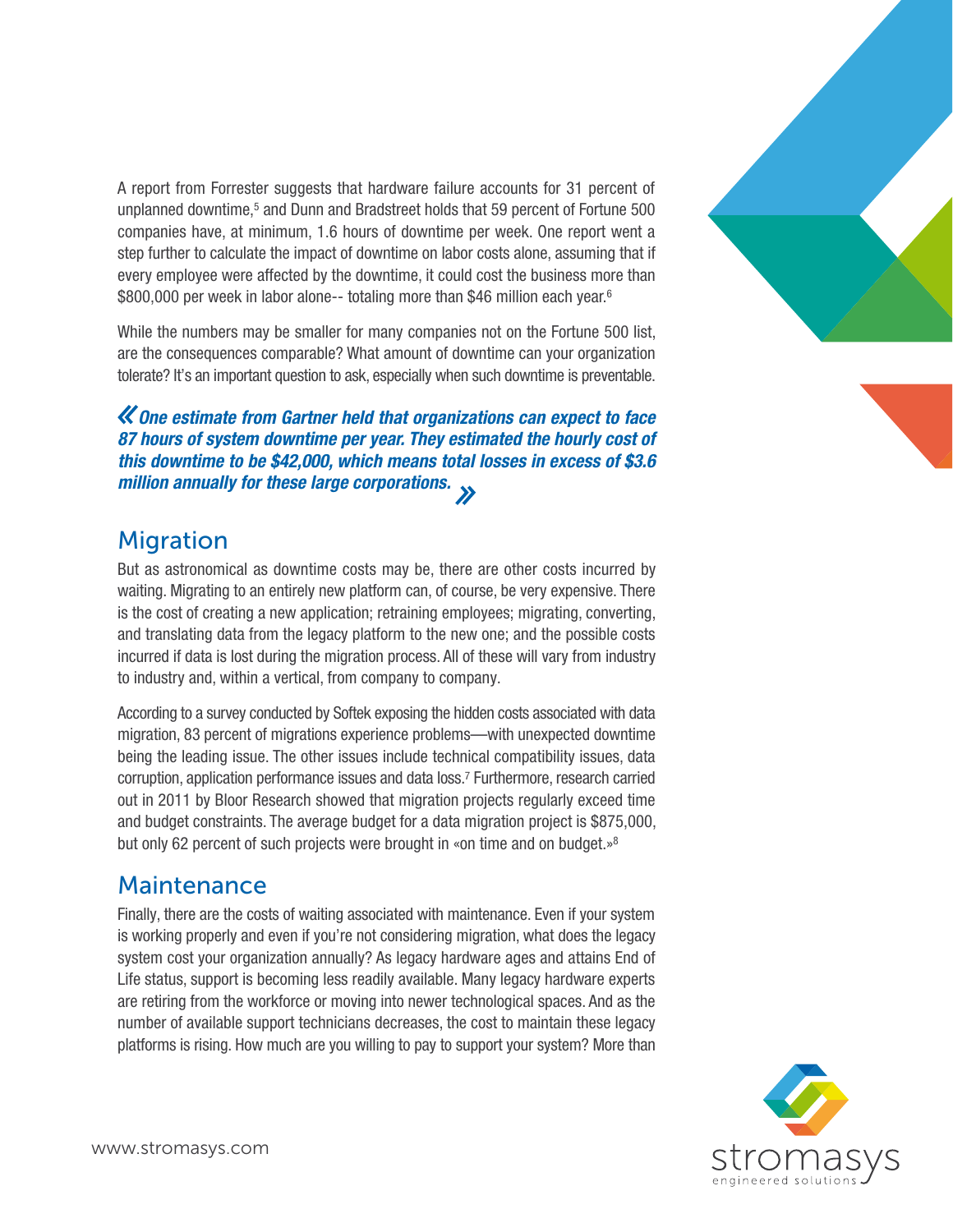A report from Forrester suggests that hardware failure accounts for 31 percent of unplanned downtime,5 and Dunn and Bradstreet holds that 59 percent of Fortune 500 companies have, at minimum, 1.6 hours of downtime per week. One report went a step further to calculate the impact of downtime on labor costs alone, assuming that if every employee were affected by the downtime, it could cost the business more than \$800,000 per week in labor alone-- totaling more than \$46 million each year.<sup>6</sup>

While the numbers may be smaller for many companies not on the Fortune 500 list, are the consequences comparable? What amount of downtime can your organization tolerate? It's an important question to ask, especially when such downtime is preventable.

One estimate from Gartner held that organizations can expect to face 87 hours of system downtime per year. They estimated the hourly cost of this downtime to be \$42,000, which means total losses in excess of \$3.6 million annually for these large corporations.  $\rightarrow$ 

#### **Migration**

But as astronomical as downtime costs may be, there are other costs incurred by waiting. Migrating to an entirely new platform can, of course, be very expensive. There is the cost of creating a new application; retraining employees; migrating, converting, and translating data from the legacy platform to the new one; and the possible costs incurred if data is lost during the migration process. All of these will vary from industry to industry and, within a vertical, from company to company.

According to a survey conducted by Softek exposing the hidden costs associated with data migration, 83 percent of migrations experience problems—with unexpected downtime being the leading issue. The other issues include technical compatibility issues, data corruption, application performance issues and data loss.7 Furthermore, research carried out in 2011 by Bloor Research showed that migration projects regularly exceed time and budget constraints. The average budget for a data migration project is \$875,000, but only 62 percent of such projects were brought in «on time and on budget.»<sup>8</sup>

#### Maintenance

Finally, there are the costs of waiting associated with maintenance. Even if your system is working properly and even if you're not considering migration, what does the legacy system cost your organization annually? As legacy hardware ages and attains End of Life status, support is becoming less readily available. Many legacy hardware experts are retiring from the workforce or moving into newer technological spaces. And as the number of available support technicians decreases, the cost to maintain these legacy platforms is rising. How much are you willing to pay to support your system? More than



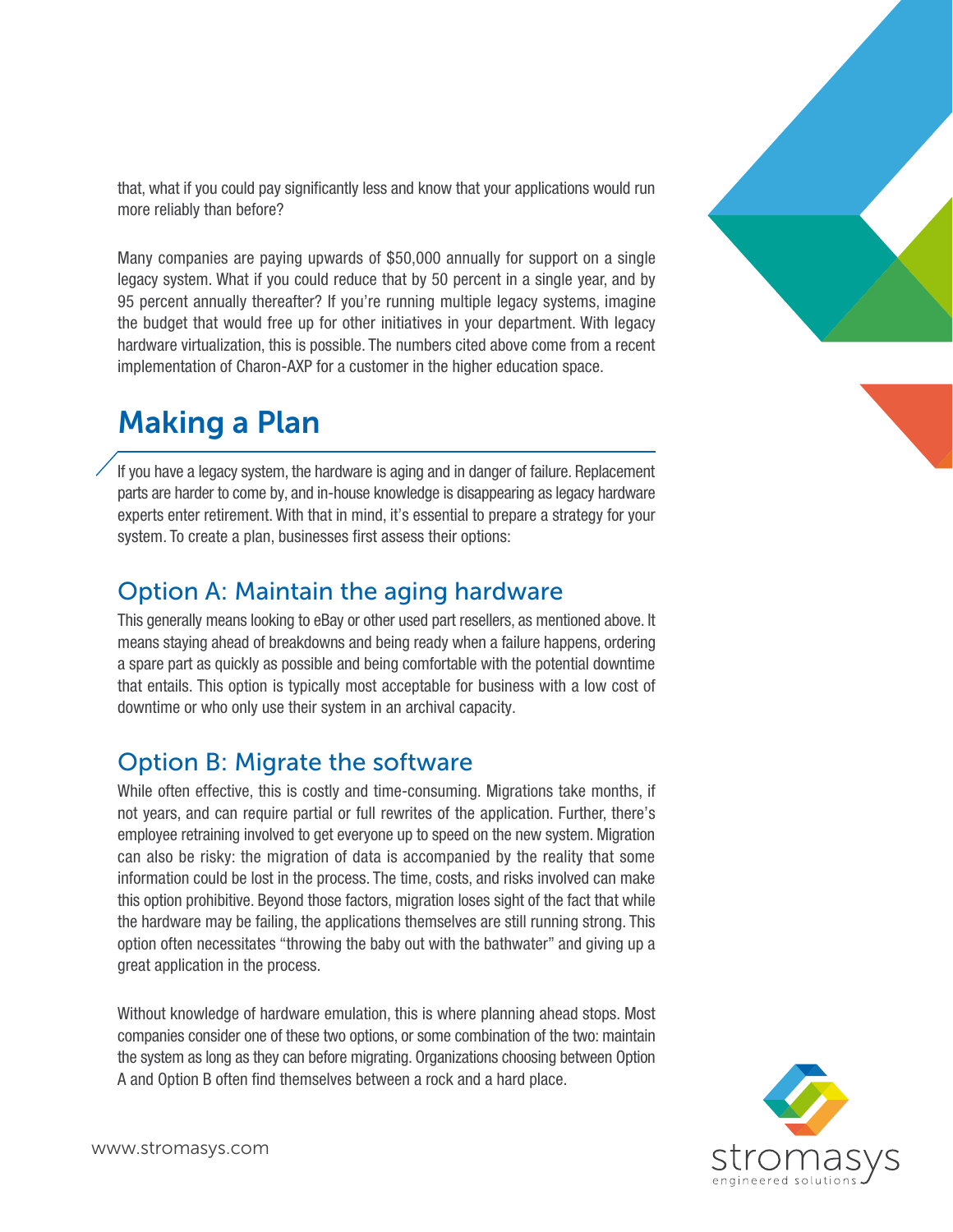that, what if you could pay significantly less and know that your applications would run more reliably than before?

Many companies are paying upwards of \$50,000 annually for support on a single legacy system. What if you could reduce that by 50 percent in a single year, and by 95 percent annually thereafter? If you're running multiple legacy systems, imagine the budget that would free up for other initiatives in your department. With legacy hardware virtualization, this is possible. The numbers cited above come from a recent implementation of Charon-AXP for a customer in the higher education space.

### Making a Plan

If you have a legacy system, the hardware is aging and in danger of failure. Replacement parts are harder to come by, and in-house knowledge is disappearing as legacy hardware experts enter retirement. With that in mind, it's essential to prepare a strategy for your system. To create a plan, businesses first assess their options:

#### Option A: Maintain the aging hardware

This generally means looking to eBay or other used part resellers, as mentioned above. It means staying ahead of breakdowns and being ready when a failure happens, ordering a spare part as quickly as possible and being comfortable with the potential downtime that entails. This option is typically most acceptable for business with a low cost of downtime or who only use their system in an archival capacity.

#### Option B: Migrate the software

While often effective, this is costly and time-consuming. Migrations take months, if not years, and can require partial or full rewrites of the application. Further, there's employee retraining involved to get everyone up to speed on the new system. Migration can also be risky: the migration of data is accompanied by the reality that some information could be lost in the process. The time, costs, and risks involved can make this option prohibitive. Beyond those factors, migration loses sight of the fact that while the hardware may be failing, the applications themselves are still running strong. This option often necessitates "throwing the baby out with the bathwater" and giving up a great application in the process.

Without knowledge of hardware emulation, this is where planning ahead stops. Most companies consider one of these two options, or some combination of the two: maintain the system as long as they can before migrating. Organizations choosing between Option A and Option B often find themselves between a rock and a hard place.

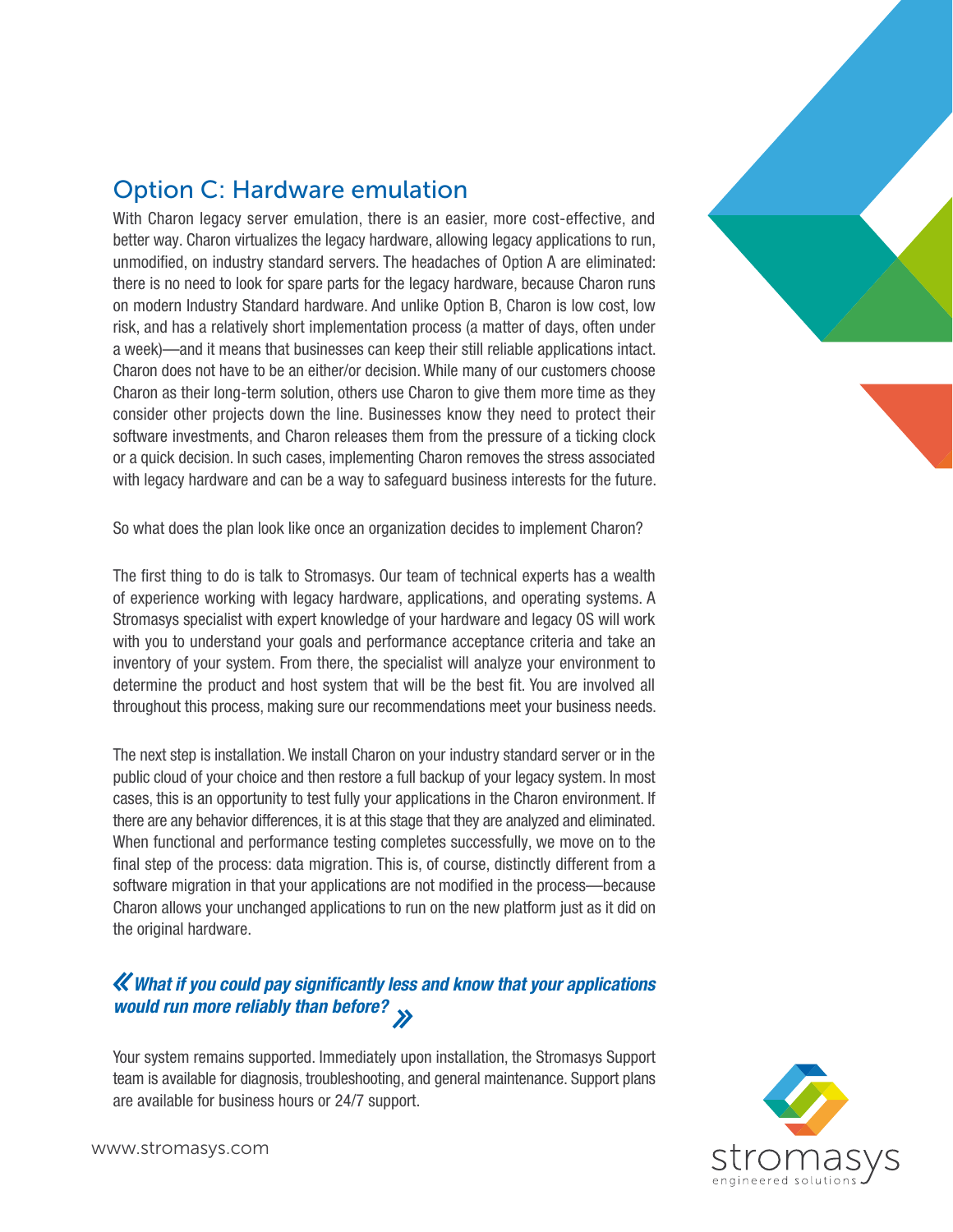

#### Option C: Hardware emulation

With Charon legacy server emulation, there is an easier, more cost-effective, and better way. Charon virtualizes the legacy hardware, allowing legacy applications to run, unmodified, on industry standard servers. The headaches of Option A are eliminated: there is no need to look for spare parts for the legacy hardware, because Charon runs on modern Industry Standard hardware. And unlike Option B, Charon is low cost, low risk, and has a relatively short implementation process (a matter of days, often under a week)—and it means that businesses can keep their still reliable applications intact. Charon does not have to be an either/or decision. While many of our customers choose Charon as their long-term solution, others use Charon to give them more time as they consider other projects down the line. Businesses know they need to protect their software investments, and Charon releases them from the pressure of a ticking clock or a quick decision. In such cases, implementing Charon removes the stress associated with legacy hardware and can be a way to safeguard business interests for the future.

So what does the plan look like once an organization decides to implement Charon?

The first thing to do is talk to Stromasys. Our team of technical experts has a wealth of experience working with legacy hardware, applications, and operating systems. A Stromasys specialist with expert knowledge of your hardware and legacy OS will work with you to understand your goals and performance acceptance criteria and take an inventory of your system. From there, the specialist will analyze your environment to determine the product and host system that will be the best fit. You are involved all throughout this process, making sure our recommendations meet your business needs.

The next step is installation. We install Charon on your industry standard server or in the public cloud of your choice and then restore a full backup of your legacy system. In most cases, this is an opportunity to test fully your applications in the Charon environment. If there are any behavior differences, it is at this stage that they are analyzed and eliminated. When functional and performance testing completes successfully, we move on to the final step of the process: data migration. This is, of course, distinctly different from a software migration in that your applications are not modified in the process—because Charon allows your unchanged applications to run on the new platform just as it did on the original hardware.

#### What if you could pay significantly less and know that your applications would run more reliably than before?

Your system remains supported. Immediately upon installation, the Stromasys Support team is available for diagnosis, troubleshooting, and general maintenance. Support plans are available for business hours or 24/7 support.